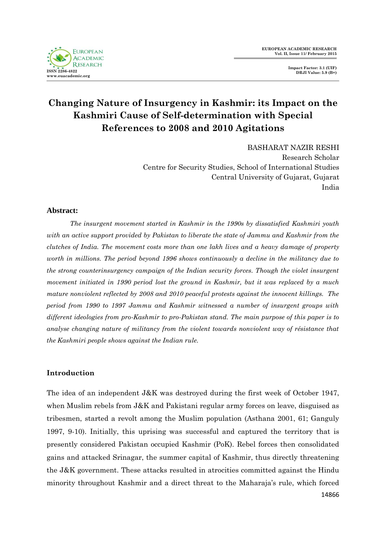

BASHARAT NAZIR RESHI Research Scholar Centre for Security Studies, School of International Studies Central University of Gujarat, Gujarat India

### **Abstract:**

*The insurgent movement started in Kashmir in the 1990s by dissatisfied Kashmiri youth with an active support provided by Pakistan to liberate the state of Jammu and Kashmir from the clutches of India. The movement costs more than one lakh lives and a heavy damage of property worth in millions. The period beyond 1996 shows continuously a decline in the militancy due to the strong counterinsurgency campaign of the Indian security forces. Though the violet insurgent movement initiated in 1990 period lost the ground in Kashmir, but it was replaced by a much mature nonviolent reflected by 2008 and 2010 peaceful protests against the innocent killings. The period from 1990 to 1997 Jammu and Kashmir witnessed a number of insurgent groups with different ideologies from pro-Kashmir to pro-Pakistan stand. The main purpose of this paper is to analyse changing nature of militancy from the violent towards nonviolent way of résistance that the Kashmiri people shows against the Indian rule.*

## **Introduction**

14866 The idea of an independent J&K was destroyed during the first week of October 1947, when Muslim rebels from J&K and Pakistani regular army forces on leave, disguised as tribesmen, started a revolt among the Muslim population (Asthana 2001, 61; Ganguly 1997, 9-10). Initially, this uprising was successful and captured the territory that is presently considered Pakistan occupied Kashmir (PoK). Rebel forces then consolidated gains and attacked Srinagar, the summer capital of Kashmir, thus directly threatening the J&K government. These attacks resulted in atrocities committed against the Hindu minority throughout Kashmir and a direct threat to the Maharaja"s rule, which forced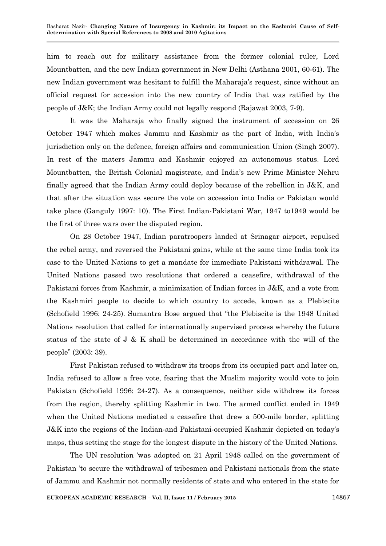him to reach out for military assistance from the former colonial ruler, Lord Mountbatten, and the new Indian government in New Delhi (Asthana 2001, 60-61). The new Indian government was hesitant to fulfill the Maharaja"s request, since without an official request for accession into the new country of India that was ratified by the people of J&K; the Indian Army could not legally respond (Rajawat 2003, 7-9).

It was the Maharaja who finally signed the instrument of accession on 26 October 1947 which makes Jammu and Kashmir as the part of India, with India"s jurisdiction only on the defence, foreign affairs and communication Union (Singh 2007). In rest of the maters Jammu and Kashmir enjoyed an autonomous status. Lord Mountbatten, the British Colonial magistrate, and India"s new Prime Minister Nehru finally agreed that the Indian Army could deploy because of the rebellion in J&K, and that after the situation was secure the vote on accession into India or Pakistan would take place (Ganguly 1997: 10). The First Indian-Pakistani War, 1947 to1949 would be the first of three wars over the disputed region.

On 28 October 1947, Indian paratroopers landed at Srinagar airport, repulsed the rebel army, and reversed the Pakistani gains, while at the same time India took its case to the United Nations to get a mandate for immediate Pakistani withdrawal. The United Nations passed two resolutions that ordered a ceasefire, withdrawal of the Pakistani forces from Kashmir, a minimization of Indian forces in J&K, and a vote from the Kashmiri people to decide to which country to accede, known as a Plebiscite (Schofield 1996: 24-25). Sumantra Bose argued that "the Plebiscite is the 1948 United Nations resolution that called for internationally supervised process whereby the future status of the state of J & K shall be determined in accordance with the will of the people" (2003: 39).

First Pakistan refused to withdraw its troops from its occupied part and later on, India refused to allow a free vote, fearing that the Muslim majority would vote to join Pakistan (Schofield 1996: 24-27). As a consequence, neither side withdrew its forces from the region, thereby splitting Kashmir in two. The armed conflict ended in 1949 when the United Nations mediated a ceasefire that drew a 500-mile border, splitting J&K into the regions of the Indian-and Pakistani-occupied Kashmir depicted on today"s maps, thus setting the stage for the longest dispute in the history of the United Nations.

The UN resolution "was adopted on 21 April 1948 called on the government of Pakistan "to secure the withdrawal of tribesmen and Pakistani nationals from the state of Jammu and Kashmir not normally residents of state and who entered in the state for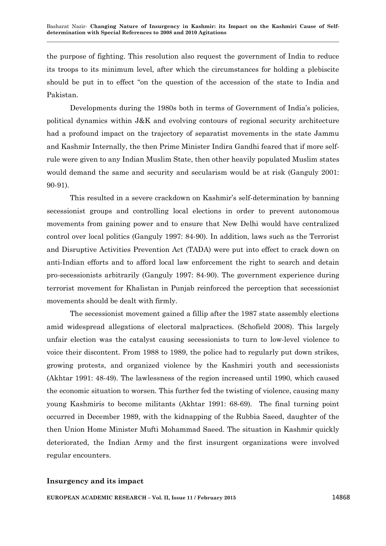the purpose of fighting. This resolution also request the government of India to reduce its troops to its minimum level, after which the circumstances for holding a plebiscite should be put in to effect "on the question of the accession of the state to India and Pakistan.

Developments during the 1980s both in terms of Government of India"s policies, political dynamics within J&K and evolving contours of regional security architecture had a profound impact on the trajectory of separatist movements in the state Jammu and Kashmir Internally, the then Prime Minister Indira Gandhi feared that if more selfrule were given to any Indian Muslim State, then other heavily populated Muslim states would demand the same and security and secularism would be at risk (Ganguly 2001: 90-91).

This resulted in a severe crackdown on Kashmir"s self-determination by banning secessionist groups and controlling local elections in order to prevent autonomous movements from gaining power and to ensure that New Delhi would have centralized control over local politics (Ganguly 1997: 84-90). In addition, laws such as the Terrorist and Disruptive Activities Prevention Act (TADA) were put into effect to crack down on anti-Indian efforts and to afford local law enforcement the right to search and detain pro-secessionists arbitrarily (Ganguly 1997: 84-90). The government experience during terrorist movement for Khalistan in Punjab reinforced the perception that secessionist movements should be dealt with firmly.

The secessionist movement gained a fillip after the 1987 state assembly elections amid widespread allegations of electoral malpractices. (Schofield 2008). This largely unfair election was the catalyst causing secessionists to turn to low-level violence to voice their discontent. From 1988 to 1989, the police had to regularly put down strikes, growing protests, and organized violence by the Kashmiri youth and secessionists (Akhtar 1991: 48-49). The lawlessness of the region increased until 1990, which caused the economic situation to worsen. This further fed the twisting of violence, causing many young Kashmiris to become militants (Akhtar 1991: 68-69). The final turning point occurred in December 1989, with the kidnapping of the Rubbia Saeed, daughter of the then Union Home Minister Mufti Mohammad Saeed. The situation in Kashmir quickly deteriorated, the Indian Army and the first insurgent organizations were involved regular encounters.

### **Insurgency and its impact**

**EUROPEAN ACADEMIC RESEARCH – Vol. II, Issue 11 / February 2015** 14868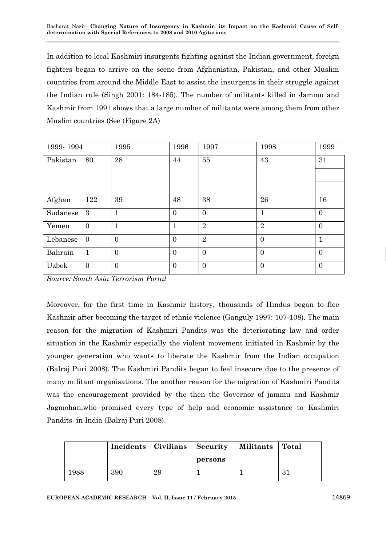In addition to local Kashmiri insurgents fighting against the Indian government, foreign fighters began to arrive on the scene from Afghanistan, Pakistan, and other Muslim countries from around the Middle East to assist the insurgents in their struggle against the Indian rule (Singh 2001: 184-185). The number of militants killed in Jammu and Kashmir from 1991 shows that a large number of militants were among them from other Muslim countries (See (Figure 2A)

| 1999-1994 |                | 1995           | 1996           | 1997           | 1998             | 1999           |
|-----------|----------------|----------------|----------------|----------------|------------------|----------------|
| Pakistan  | 80             | 28             | 44             | 55             | 43               | 31             |
|           |                |                |                |                |                  |                |
|           |                |                |                |                |                  |                |
| Afghan    | 122            | 39             | 48             | 38             | 26               | 16             |
| Sudanese  | 3              | $\mathbf{1}$   | $\mathbf{0}$   | $\mathbf{0}$   | $\mathbf{1}$     | $\overline{0}$ |
| Yemen     | $\overline{0}$ | $\mathbf{1}$   | $\mathbf{1}$   | $\overline{2}$ | $\overline{2}$   | $\overline{0}$ |
| Lebanese  | $\overline{0}$ | $\overline{0}$ | $\overline{0}$ | $\overline{2}$ | $\overline{0}$   | 1              |
| Bahrain   | 1              | $\mathbf{0}$   | $\mathbf{0}$   | $\overline{0}$ | $\overline{0}$   | $\overline{0}$ |
| Uzbek     | $\overline{0}$ | $\mathbf{0}$   | $\mathbf{0}$   | $\overline{0}$ | $\boldsymbol{0}$ | $\overline{0}$ |

*Source: South Asia Terrorism Portal* 

Moreover, for the first time in Kashmir history, thousands of Hindus began to flee Kashmir after becoming the target of ethnic violence (Ganguly 1997: 107-108). The main reason for the migration of Kashmiri Pandits was the deteriorating law and order situation in the Kashmir especially the violent movement initiated in Kashmir by the younger generation who wants to liberate the Kashmir from the Indian occupation (Balraj Puri 2008). The Kashmiri Pandits began to feel insecure due to the presence of many militant organisations. The another reason for the migration of Kashmiri Pandits was the encouragement provided by the then the Governor of jammu and Kashmir Jagmohan,who promised every type of help and economic assistance to Kashmiri Pandits in India (Balraj Puri 2008).

|      |     | Incidents   Civilians   Security |         | Militants | Total |
|------|-----|----------------------------------|---------|-----------|-------|
|      |     |                                  | persons |           |       |
| 1988 | 390 | 29                               |         |           | 21    |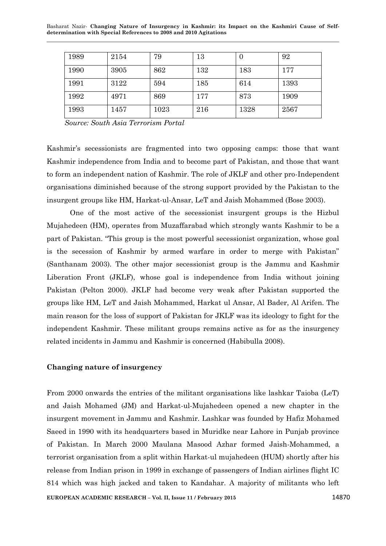| 1989 | 2154 | 79   | 13  |      | 92   |
|------|------|------|-----|------|------|
| 1990 | 3905 | 862  | 132 | 183  | 177  |
| 1991 | 3122 | 594  | 185 | 614  | 1393 |
| 1992 | 4971 | 869  | 177 | 873  | 1909 |
| 1993 | 1457 | 1023 | 216 | 1328 | 2567 |

 *Source: South Asia Terrorism Portal* 

Kashmir"s secessionists are fragmented into two opposing camps: those that want Kashmir independence from India and to become part of Pakistan, and those that want to form an independent nation of Kashmir. The role of JKLF and other pro-Independent organisations diminished because of the strong support provided by the Pakistan to the insurgent groups like HM, Harkat-ul-Ansar, LeT and Jaish Mohammed (Bose 2003).

One of the most active of the secessionist insurgent groups is the Hizbul Mujahedeen (HM), operates from Muzaffarabad which strongly wants Kashmir to be a part of Pakistan. "This group is the most powerful secessionist organization, whose goal is the secession of Kashmir by armed warfare in order to merge with Pakistan" (Santhanam 2003). The other major secessionist group is the Jammu and Kashmir Liberation Front (JKLF), whose goal is independence from India without joining Pakistan (Pelton 2000). JKLF had become very weak after Pakistan supported the groups like HM, LeT and Jaish Mohammed, Harkat ul Ansar, Al Bader, Al Arifen. The main reason for the loss of support of Pakistan for JKLF was its ideology to fight for the independent Kashmir. These militant groups remains active as for as the insurgency related incidents in Jammu and Kashmir is concerned (Habibulla 2008).

### **Changing nature of insurgency**

**EUROPEAN ACADEMIC RESEARCH – Vol. II, Issue 11 / February 2015** 14870 From 2000 onwards the entries of the militant organisations like lashkar Taioba (LeT) and Jaish Mohamed (JM) and Harkat-ul-Mujahedeen opened a new chapter in the insurgent movement in Jammu and Kashmir. Lashkar was founded by Hafiz Mohamed Saeed in 1990 with its headquarters based in Muridke near Lahore in Punjab province of Pakistan. In March 2000 Maulana Masood Azhar formed Jaish-Mohammed, a terrorist organisation from a split within Harkat-ul mujahedeen (HUM) shortly after his release from Indian prison in 1999 in exchange of passengers of Indian airlines flight IC 814 which was high jacked and taken to Kandahar. A majority of militants who left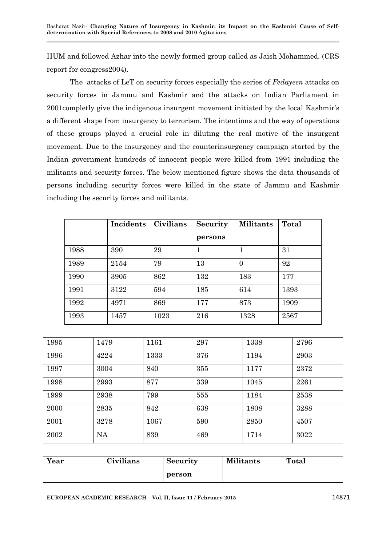HUM and followed Azhar into the newly formed group called as Jaish Mohammed. (CRS report for congress2004).

The attacks of LeT on security forces especially the series of *Fedayeen* attacks on security forces in Jammu and Kashmir and the attacks on Indian Parliament in 2001completly give the indigenous insurgent movement initiated by the local Kashmir"s a different shape from insurgency to terrorism. The intentions and the way of operations of these groups played a crucial role in diluting the real motive of the insurgent movement. Due to the insurgency and the counterinsurgency campaign started by the Indian government hundreds of innocent people were killed from 1991 including the militants and security forces. The below mentioned figure shows the data thousands of persons including security forces were killed in the state of Jammu and Kashmir including the security forces and militants.

|      | Incidents | Civilians | Security | <b>Militants</b> | Total |
|------|-----------|-----------|----------|------------------|-------|
|      |           |           | persons  |                  |       |
| 1988 | 390       | 29        | 1        |                  | 31    |
| 1989 | 2154      | 79        | 13       | $\theta$         | 92    |
| 1990 | 3905      | 862       | 132      | 183              | 177   |
| 1991 | 3122      | 594       | 185      | 614              | 1393  |
| 1992 | 4971      | 869       | 177      | 873              | 1909  |
| 1993 | 1457      | 1023      | 216      | 1328             | 2567  |

| 1995 | 1479      | 1161 | 297 | 1338 | 2796 |
|------|-----------|------|-----|------|------|
| 1996 | 4224      | 1333 | 376 | 1194 | 2903 |
| 1997 | 3004      | 840  | 355 | 1177 | 2372 |
| 1998 | 2993      | 877  | 339 | 1045 | 2261 |
| 1999 | 2938      | 799  | 555 | 1184 | 2538 |
| 2000 | 2835      | 842  | 638 | 1808 | 3288 |
| 2001 | 3278      | 1067 | 590 | 2850 | 4507 |
| 2002 | <b>NA</b> | 839  | 469 | 1714 | 3022 |

| Year | Civilians | <b>Security</b> | <b>Militants</b> | Total |
|------|-----------|-----------------|------------------|-------|
|      |           | person          |                  |       |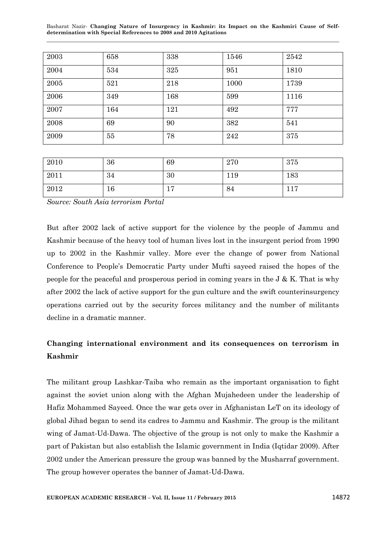| 2003 | 658 | 338 | 1546 | 2542 |
|------|-----|-----|------|------|
| 2004 | 534 | 325 | 951  | 1810 |
| 2005 | 521 | 218 | 1000 | 1739 |
| 2006 | 349 | 168 | 599  | 1116 |
| 2007 | 164 | 121 | 492  | 777  |
| 2008 | 69  | 90  | 382  | 541  |
| 2009 | 55  | 78  | 242  | 375  |

| 2010 | 36 | 69            | 270 | 375                     |
|------|----|---------------|-----|-------------------------|
| 2011 | 34 | 30            | 119 | 183                     |
| 2012 | 16 | -<br><b>I</b> | 84  | 17<br>$\perp$ $\perp$ ( |

*Source: South Asia terrorism Portal*

But after 2002 lack of active support for the violence by the people of Jammu and Kashmir because of the heavy tool of human lives lost in the insurgent period from 1990 up to 2002 in the Kashmir valley. More ever the change of power from National Conference to People"s Democratic Party under Mufti sayeed raised the hopes of the people for the peaceful and prosperous period in coming years in the J & K. That is why after 2002 the lack of active support for the gun culture and the swift counterinsurgency operations carried out by the security forces militancy and the number of militants decline in a dramatic manner.

# **Changing international environment and its consequences on terrorism in Kashmir**

The militant group Lashkar-Taiba who remain as the important organisation to fight against the soviet union along with the Afghan Mujahedeen under the leadership of Hafiz Mohammed Sayeed. Once the war gets over in Afghanistan LeT on its ideology of global Jihad began to send its cadres to Jammu and Kashmir. The group is the militant wing of Jamat-Ud-Dawa. The objective of the group is not only to make the Kashmir a part of Pakistan but also establish the Islamic government in India (Iqtidar 2009). After 2002 under the American pressure the group was banned by the Musharraf government. The group however operates the banner of Jamat-Ud-Dawa.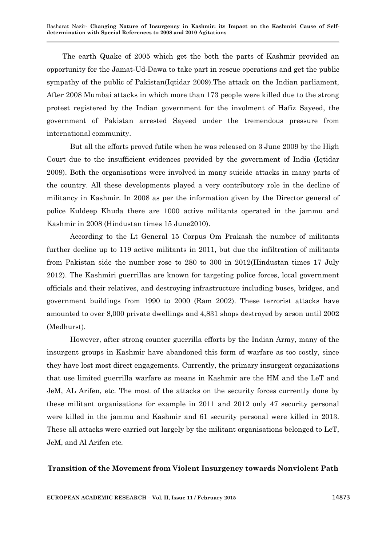The earth Quake of 2005 which get the both the parts of Kashmir provided an opportunity for the Jamat-Ud-Dawa to take part in rescue operations and get the public sympathy of the public of Pakistan(Iqtidar 2009).The attack on the Indian parliament, After 2008 Mumbai attacks in which more than 173 people were killed due to the strong protest registered by the Indian government for the involment of Hafiz Sayeed, the government of Pakistan arrested Sayeed under the tremendous pressure from international community.

But all the efforts proved futile when he was released on 3 June 2009 by the High Court due to the insufficient evidences provided by the government of India (Iqtidar 2009). Both the organisations were involved in many suicide attacks in many parts of the country. All these developments played a very contributory role in the decline of militancy in Kashmir. In 2008 as per the information given by the Director general of police Kuldeep Khuda there are 1000 active militants operated in the jammu and Kashmir in 2008 (Hindustan times 15 June2010).

According to the Lt General 15 Corpus Om Prakash the number of militants further decline up to 119 active militants in 2011, but due the infiltration of militants from Pakistan side the number rose to 280 to 300 in 2012(Hindustan times 17 July 2012). The Kashmiri guerrillas are known for targeting police forces, local government officials and their relatives, and destroying infrastructure including buses, bridges, and government buildings from 1990 to 2000 (Ram 2002). These terrorist attacks have amounted to over 8,000 private dwellings and 4,831 shops destroyed by arson until 2002 (Medhurst).

However, after strong counter guerrilla efforts by the Indian Army, many of the insurgent groups in Kashmir have abandoned this form of warfare as too costly, since they have lost most direct engagements. Currently, the primary insurgent organizations that use limited guerrilla warfare as means in Kashmir are the HM and the LeT and JeM, AL Arifen, etc. The most of the attacks on the security forces currently done by these militant organisations for example in 2011 and 2012 only 47 security personal were killed in the jammu and Kashmir and 61 security personal were killed in 2013. These all attacks were carried out largely by the militant organisations belonged to LeT, JeM, and Al Arifen etc.

### **Transition of the Movement from Violent Insurgency towards Nonviolent Path**

**EUROPEAN ACADEMIC RESEARCH – Vol. II, Issue 11 / February 2015** 14873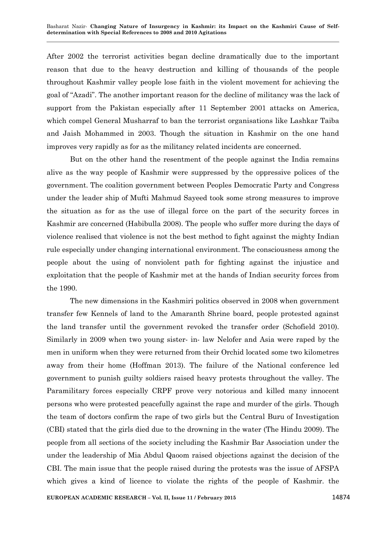After 2002 the terrorist activities began decline dramatically due to the important reason that due to the heavy destruction and killing of thousands of the people throughout Kashmir valley people lose faith in the violent movement for achieving the goal of "Azadi". The another important reason for the decline of militancy was the lack of support from the Pakistan especially after 11 September 2001 attacks on America, which compel General Musharraf to ban the terrorist organisations like Lashkar Taiba and Jaish Mohammed in 2003. Though the situation in Kashmir on the one hand improves very rapidly as for as the militancy related incidents are concerned.

But on the other hand the resentment of the people against the India remains alive as the way people of Kashmir were suppressed by the oppressive polices of the government. The coalition government between Peoples Democratic Party and Congress under the leader ship of Mufti Mahmud Sayeed took some strong measures to improve the situation as for as the use of illegal force on the part of the security forces in Kashmir are concerned (Habibulla 2008). The people who suffer more during the days of violence realised that violence is not the best method to fight against the mighty Indian rule especially under changing international environment. The consciousness among the people about the using of nonviolent path for fighting against the injustice and exploitation that the people of Kashmir met at the hands of Indian security forces from the 1990.

The new dimensions in the Kashmiri politics observed in 2008 when government transfer few Kennels of land to the Amaranth Shrine board, people protested against the land transfer until the government revoked the transfer order (Schofield 2010). Similarly in 2009 when two young sister- in- law Nelofer and Asia were raped by the men in uniform when they were returned from their Orchid located some two kilometres away from their home (Hoffman 2013). The failure of the National conference led government to punish guilty soldiers raised heavy protests throughout the valley. The Paramilitary forces especially CRPF prove very notorious and killed many innocent persons who were protested peacefully against the rape and murder of the girls. Though the team of doctors confirm the rape of two girls but the Central Buru of Investigation (CBI) stated that the girls died due to the drowning in the water (The Hindu 2009). The people from all sections of the society including the Kashmir Bar Association under the under the leadership of Mia Abdul Qaoom raised objections against the decision of the CBI. The main issue that the people raised during the protests was the issue of AFSPA which gives a kind of licence to violate the rights of the people of Kashmir. the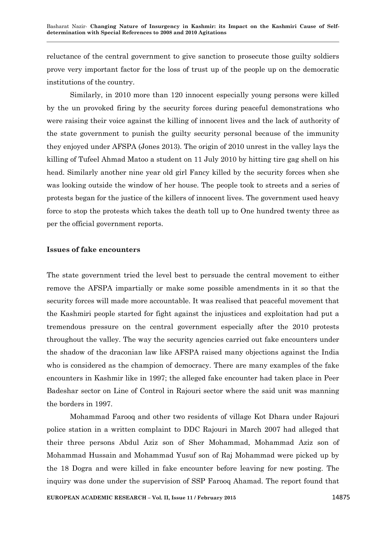reluctance of the central government to give sanction to prosecute those guilty soldiers prove very important factor for the loss of trust up of the people up on the democratic institutions of the country.

Similarly, in 2010 more than 120 innocent especially young persons were killed by the un provoked firing by the security forces during peaceful demonstrations who were raising their voice against the killing of innocent lives and the lack of authority of the state government to punish the guilty security personal because of the immunity they enjoyed under AFSPA (Jones 2013). The origin of 2010 unrest in the valley lays the killing of Tufeel Ahmad Matoo a student on 11 July 2010 by hitting tire gag shell on his head. Similarly another nine year old girl Fancy killed by the security forces when she was looking outside the window of her house. The people took to streets and a series of protests began for the justice of the killers of innocent lives. The government used heavy force to stop the protests which takes the death toll up to One hundred twenty three as per the official government reports.

#### **Issues of fake encounters**

The state government tried the level best to persuade the central movement to either remove the AFSPA impartially or make some possible amendments in it so that the security forces will made more accountable. It was realised that peaceful movement that the Kashmiri people started for fight against the injustices and exploitation had put a tremendous pressure on the central government especially after the 2010 protests throughout the valley. The way the security agencies carried out fake encounters under the shadow of the draconian law like AFSPA raised many objections against the India who is considered as the champion of democracy. There are many examples of the fake encounters in Kashmir like in 1997; the alleged fake encounter had taken place in Peer Badeshar sector on Line of Control in Rajouri sector where the said unit was manning the borders in 1997.

Mohammad Farooq and other two residents of village Kot Dhara under Rajouri police station in a written complaint to DDC Rajouri in March 2007 had alleged that their three persons Abdul Aziz son of Sher Mohammad, Mohammad Aziz son of Mohammad Hussain and Mohammad Yusuf son of Raj Mohammad were picked up by the 18 Dogra and were killed in fake encounter before leaving for new posting. The inquiry was done under the supervision of SSP Farooq Ahamad. The report found that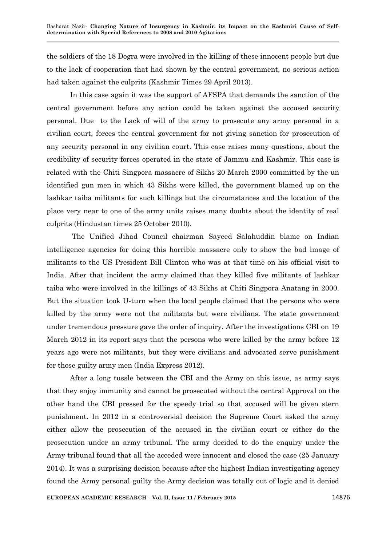the soldiers of the 18 Dogra were involved in the killing of these innocent people but due to the lack of cooperation that had shown by the central government, no serious action had taken against the culprits (Kashmir Times 29 April 2013).

In this case again it was the support of AFSPA that demands the sanction of the central government before any action could be taken against the accused security personal. Due to the Lack of will of the army to prosecute any army personal in a civilian court, forces the central government for not giving sanction for prosecution of any security personal in any civilian court. This case raises many questions, about the credibility of security forces operated in the state of Jammu and Kashmir. This case is related with the Chiti Singpora massacre of Sikhs 20 March 2000 committed by the un identified gun men in which 43 Sikhs were killed, the government blamed up on the lashkar taiba militants for such killings but the circumstances and the location of the place very near to one of the army units raises many doubts about the identity of real culprits (Hindustan times 25 October 2010).

The Unified Jihad Council chairman Sayeed Salahuddin blame on Indian intelligence agencies for doing this horrible massacre only to show the bad image of militants to the US President Bill Clinton who was at that time on his official visit to India. After that incident the army claimed that they killed five militants of lashkar taiba who were involved in the killings of 43 Sikhs at Chiti Singpora Anatang in 2000. But the situation took U-turn when the local people claimed that the persons who were killed by the army were not the militants but were civilians. The state government under tremendous pressure gave the order of inquiry. After the investigations CBI on 19 March 2012 in its report says that the persons who were killed by the army before 12 years ago were not militants, but they were civilians and advocated serve punishment for those guilty army men (India Express 2012).

After a long tussle between the CBI and the Army on this issue, as army says that they enjoy immunity and cannot be prosecuted without the central Approval on the other hand the CBI pressed for the speedy trial so that accused will be given stern punishment. In 2012 in a controversial decision the Supreme Court asked the army either allow the prosecution of the accused in the civilian court or either do the prosecution under an army tribunal. The army decided to do the enquiry under the Army tribunal found that all the acceded were innocent and closed the case (25 January 2014). It was a surprising decision because after the highest Indian investigating agency found the Army personal guilty the Army decision was totally out of logic and it denied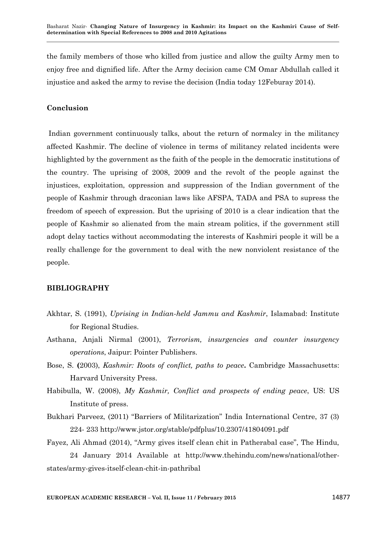the family members of those who killed from justice and allow the guilty Army men to enjoy free and dignified life. After the Army decision came CM Omar Abdullah called it injustice and asked the army to revise the decision (India today 12Feburay 2014).

### **Conclusion**

Indian government continuously talks, about the return of normalcy in the militancy affected Kashmir. The decline of violence in terms of militancy related incidents were highlighted by the government as the faith of the people in the democratic institutions of the country. The uprising of 2008, 2009 and the revolt of the people against the injustices, exploitation, oppression and suppression of the Indian government of the people of Kashmir through draconian laws like AFSPA, TADA and PSA to supress the freedom of speech of expression. But the uprising of 2010 is a clear indication that the people of Kashmir so alienated from the main stream politics, if the government still adopt delay tactics without accommodating the interests of Kashmiri people it will be a really challenge for the government to deal with the new nonviolent resistance of the people.

### **BIBLIOGRAPHY**

- Akhtar, S. (1991), *Uprising in Indian-held Jammu and Kashmir*, Islamabad: Institute for Regional Studies.
- Asthana, Anjali Nirmal (2001), *Terrorism, insurgencies and counter insurgency operations*, Jaipur: Pointer Publishers.
- Bose, S. **(**2003), *Kashmir: Roots of conflict, paths to peace***.** Cambridge Massachusetts: Harvard University Press.
- Habibulla, W. (2008), *My Kashmir, Conflict and prospects of ending peace*, US: US Institute of press.
- Bukhari Parveez, (2011) "Barriers of Militarization" India International Centre, 37 (3) 224- 233 http://www.jstor.org/stable/pdfplus/10.2307/41804091.pdf
- Fayez, Ali Ahmad (2014), "Army gives itself clean chit in Patherabal case", The Hindu, 24 January 2014 Available at http://www.thehindu.com/news/national/otherstates/army-gives-itself-clean-chit-in-pathribal